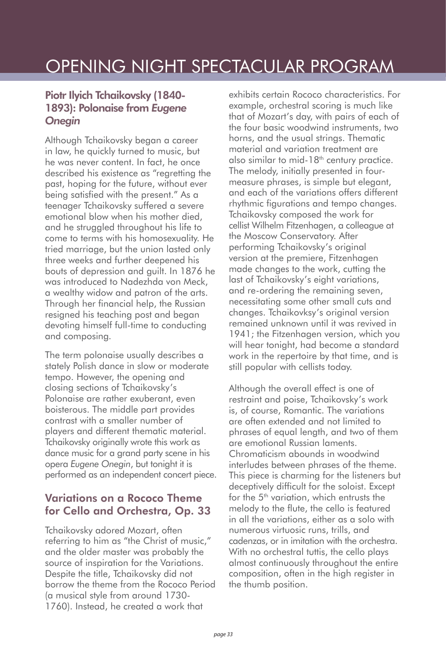## Piotr Ilyich Tchaikovsky (1840- 1893): Polonaise from *Eugene Onegin*

Although Tchaikovsky began a career in law, he quickly turned to music, but he was never content. In fact, he once described his existence as "regretting the past, hoping for the future, without ever being satisfied with the present." As a teenager Tchaikovsky suffered a severe emotional blow when his mother died, and he struggled throughout his life to come to terms with his homosexuality. He tried marriage, but the union lasted only three weeks and further deepened his bouts of depression and guilt. In 1876 he was introduced to Nadezhda von Meck, a wealthy widow and patron of the arts. Through her financial help, the Russian resigned his teaching post and began devoting himself full-time to conducting and composing.

The term polonaise usually describes a stately Polish dance in slow or moderate tempo. However, the opening and closing sections of Tchaikovsky's Polonaise are rather exuberant, even boisterous. The middle part provides contrast with a smaller number of players and different thematic material. Tchaikovsky originally wrote this work as dance music for a grand party scene in his opera *Eugene Onegin*, but tonight it is performed as an independent concert piece.

## Variations on a Rococo Theme for Cello and Orchestra, Op. 33

Tchaikovsky adored Mozart, often referring to him as "the Christ of music," and the older master was probably the source of inspiration for the Variations. Despite the title, Tchaikovsky did not borrow the theme from the Rococo Period (a musical style from around 1730- 1760). Instead, he created a work that

exhibits certain Rococo characteristics. For example, orchestral scoring is much like that of Mozart's day, with pairs of each of the four basic woodwind instruments, two horns, and the usual strings. Thematic material and variation treatment are also similar to mid-18<sup>th</sup> century practice. The melody, initially presented in fourmeasure phrases, is simple but elegant, and each of the variations offers different rhythmic figurations and tempo changes. Tchaikovsky composed the work for cellist Wilhelm Fitzenhagen, a colleague at the Moscow Conservatory. After performing Tchaikovsky's original version at the premiere, Fitzenhagen made changes to the work, cutting the last of Tchaikovsky's eight variations, and re-ordering the remaining seven, necessitating some other small cuts and changes. Tchaikovksy's original version remained unknown until it was revived in 1941; the Fitzenhagen version, which you will hear tonight, had become a standard work in the repertoire by that time, and is still popular with cellists today.

Although the overall effect is one of restraint and poise, Tchaikovsky's work is, of course, Romantic. The variations are often extended and not limited to phrases of equal length, and two of them are emotional Russian laments. Chromaticism abounds in woodwind interludes between phrases of the theme. This piece is charming for the listeners but deceptively difficult for the soloist. Except for the  $5^{\text{th}}$  variation, which entrusts the melody to the flute, the cello is featured in all the variations, either as a solo with numerous virtuosic runs, trills, and cadenzas, or in imitation with the orchestra. With no orchestral tuttis, the cello plays almost continuously throughout the entire composition, often in the high register in the thumb position.